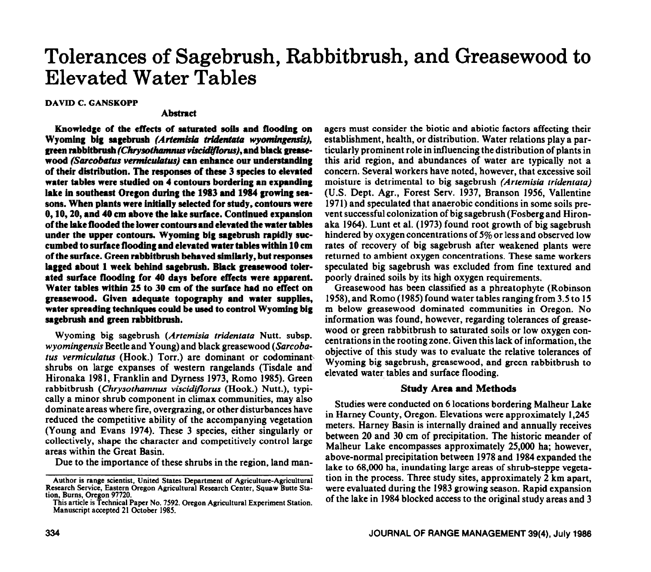# **Tolerances of Sagebrush, Rabbitbrush, and Greasewood to Elevated Water Tables**

**DAVID C. GANSKOPP** 

## Abstract

**Knowledge of the effects of saturated soils and flooding on**  Wyoming big sagebrush *(Artemisia tridentata wyomingensis)*, green rabbitbrush (Chrysothamnus viscidiflorus), and black greasewood *(Sarcobatus vermiculatus)* can enhance our understanding **of their distribution. Tbe responses of these 3 species to elevated water tables were studied on 4 contours bordering an expanding lake in southeast Oregon during the 1983 and 1984 growing seasons. When plants were initially selected for study, contours were 0, 10,20, and 40 cm above the iake surface. Continued expansion of the lake flooded the lower contours and elevated the water tables under the upper contours. Wyoming big sagebrush rapidly succumbed to surface flooding and elevated water tables within 10 cm of the surface. Green rabbitbrush behaved similarly, but responses lagged about 1 week behind sagebrush. Biack greasewood toierated surface flooding for 40 days before effects were apparent. Water tables within 25 to 30 cm of the surface had no effect on greasewood. Given adequate topography and water supplies, water spreading techniques could be used to control Wyoming big sagebrush and green rabbitbrush.** 

**Wyoming big sagebrush** *(Artemisia tridentata* **Nutt. subsp.**  *wyomingensis* Beetle **and Young) and black greasewood** *(Sarcobatus vermiculatus* (Hook.) Torr.) are dominant or codominanb shrubs on large expanses of western rangelands (Tisdale and' Hironaka 1981, Franklin and Dyrness 1973, Romo 1985). Green rabbitbrush *(Chrysothamnus viscidiforus* (Hook.) Nutt.), typically a minor shrub component in climax communities, may also dominate areas where fire, overgrazing, or other disturbances have reduced the competitive ability of the accompanying vegetation (Young and Evans 1974). These 3 species, either singularly or collectively, shape the character and competitively control large areas within the Great Basin.

Due to the importance of these shrubs in the region, land man-

agers must consider the biotic and abiotic factors affecting their establishment, health, or distribution. Water relations play a particularly prominent role in influencing the distribution of plants in this arid region, and abundances of water are typically not a concern. Several workers have noted, however, that excessive soil moisture is detrimental to big sagebrush *(Artemisia tridentata)*  (U.S. Dept. Agr., Forest Serv. 1937, Branson 1956, Vallentine 1971) and speculated that anaerobic conditions in some soils prevent successful colonization of big sagebrush (Fosberg and Hironaka 1964). Lunt et al. (1973) found root growth of big sagebrush hindered by oxygen concentrations of 5% or less and observed low rates of recovery of big sagebrush after weakened plants were returned to ambient oxygen concentrations. These same workers speculated big sagebrush was excluded from fine textured and poorly drained soils by its high oxygen requirements.

Greasewood has been classified as a phreatophyte (Robinson 1958), and Romo (1985) found water tables ranging from 3.5 to 15 m below greasewood dominated communities in Oregon. No information was found, however, regarding tolerances of greasewood or green rabbitbrush to saturated soils or low oxygen concentrations in the rooting zone. Given this lack of information, the objective of this study was to evaluate the relative tolerances of Wyoming big sagebrush, greasewood, and green rabbitbrush to elevated water tables and surface flooding.

#### **Study Area and Methods**

Studies were conducted on 6 locations bordering Malheur Lake in Harney County, Oregon. Elevations were approximately 1,245 meters. Harney Basin is internally drained and annually receives between 20 and 30 cm of precipitation. The historic meander of Malheur Lake encompasses approximately 25,000 ha; however, above-normal precipitation between 1978 and 1984 expanded the lake to 68,000 ha, inundating large areas of shrub-steppe vegetation in the process. Three study sites, approximately 2 km apart, were evaluated during the 1983 growing season. Rapid expansion of the lake in 1984 blocked access to the original study areas and 3

**Author is range scientist, United States Department of Agriculture-Agricultural**  Research Service, Eastern Oregon **Agricultural Research Center, Squaw Butte Station, Bums, Oregon 97720.** 

**Thisarticle is Technical Paper No. 7592. Oregon Agricultural Experiment Station. Manuscript accepted 21 October 1985.**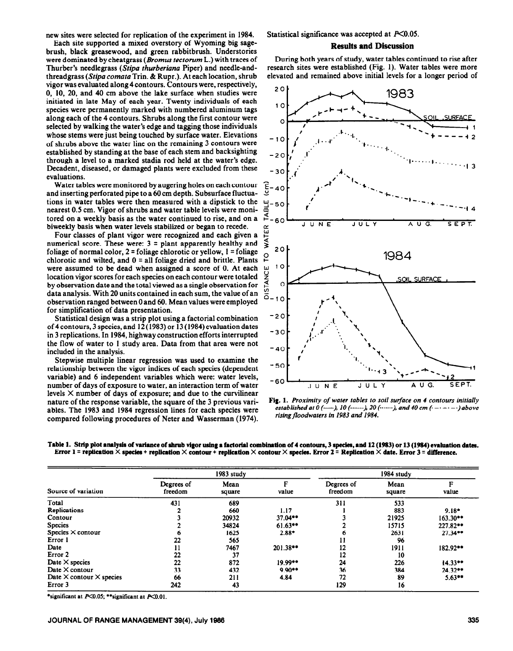new sites were selected for replication of the experiment in 1984.

Each site supported a mixed overstory of Wyoming big sagebrush, black greasewood, and green rabbitbrush. Understories were dominated by cheatgrass (Bromus tectorum L.) with traces of Thurber's needlegrass (Stipa thurberiana Piper) and needle-andthreadgrass *(Stipu comatu* Trin. & Rupr.). At each location, shrub vigor was evaluated along 4 contours. Contours were, respectively, 0, 10, 20, and 40 cm above the lake surface when studies were initiated in late May of each year. Twenty individuals of each species were permanently marked with numbered aluminum tags along each of the 4 contours. Shrubs along the first contour were selected by walking the water's edge and tagging those individuals whose stems were just being touched by surface water. Elevations of shrubs above the water line on the remaining 3 contours were established by standing at the base of each stem and backsighting through a level to a marked stadia rod held at the water's edge. Decadent, diseased, or damaged plants were excluded from these evaluations.

Water tables were monitored by augering holes on each contour and inserting perforated pipe to a 60 cm depth. Subsurface fluctuations in water tables were then measured with a dipstick to the nearest 0.5 cm. Vigor of shrubs and water table levels were monitored on a weekly basis as the water continued to rise, and on a biweekly basis when water levels stabilized or began to recede.

Four classes of plant vigor were recognized and each given a numerical score. These were:  $3 =$  plant apparently healthy and foliage of normal color, 2 = foliage chlorotic or yellow, **1 =** foliage chlorotic and wilted, and  $0 =$  all foliage dried and brittle. Plants were assumed to be dead when assigned a score of 0. At each location vigor scores for each species on each contour were totaled by observation date and the total viewed as a single observation for data analysis. With 20 units contained in each sum, the value of an observation ranged between 0 and 60. Mean values were employed for simplification of data presentation.

Statistical design was a strip plot using a factorial combination of 4 contours, 3 species, and 12 (1983) or 13 (1984) evaluation dates in 3 replications. In 1984, highway construction efforts interrupted the flow of water to 1 study area. Data from that area were not included in the analysis.

Stepwise multiple linear regression was used to examine the relationship between the vigor indices of each species (dependent variable) and 6 independent variables which were: water levels, number of days of exposure to water, an interaction term of water levels  $\times$  number of days of exposure; and due to the curvilinear nature of the response variable, the square of the 3 previous variables. The 1983 and 1984 regression lines for each species were compared following procedures of Neter and Wasserman (1974). Statistical significance was accepted at  $P<0.05$ .

### **Results and Discussion**

During both years of study, water tables continued to rise after research sites were established (Fig. 1). Water tables were more elevated and remained above initial levels for a longer period of



**Fig. 1.** *Proximity of water tables to soil surface on 4 contours initially established at 0 (---), 10 (------), 20 (------), and 40 cm (------)above risingfloodwaters in 1983 and 1984.* 

Table 1. Strip plot analysis of variance of shrub vigor using a factorial combination of 4 contours, 3 species, and 12 (1983) or 13 (1984) evaluation dates. Error  $1$  = replication  $\times$  species + replication  $\times$  contour + replication  $\times$  contour  $\times$  species. Error  $2$  = Replication  $\times$  date. Error  $3$  = difference.

| Source of variation                    |                       | 1983 study     |            | 1984 study            |                |            |  |
|----------------------------------------|-----------------------|----------------|------------|-----------------------|----------------|------------|--|
|                                        | Degrees of<br>freedom | Mean<br>square | value      | Degrees of<br>freedom | Mean<br>square | F<br>value |  |
| Total                                  | 431                   | 689            |            | 311                   | 533            |            |  |
| Replications                           |                       | 660            | 1.17       |                       | 883            | $9.18*$    |  |
| Contour                                |                       | 20932          | 37.04**    |                       | 21925          | $163.30**$ |  |
| <b>Species</b>                         |                       | 34824          | $61.63**$  |                       | 15715          | 227.82**   |  |
| Species $\times$ contour               |                       | 1625           | $2.88*$    | o                     | 2631           | $27.34**$  |  |
| Error 1                                | 22                    | 565            |            |                       | 96             |            |  |
| Date                                   | 11                    | 7467           | $201.38**$ | 12                    | 1911           | 182.92**   |  |
| Error 2                                | 22                    | 37             |            | 12                    | 10             |            |  |
| Date $\times$ species                  | 22                    | 872            | $19.99**$  | 24                    | 226            | 14.33**    |  |
| Date $\times$ contour                  | 33                    | 432            | $9.90**$   | 36                    | 384            | $24.32**$  |  |
| Date $\times$ contour $\times$ species | 66                    | 211            | 4.84       | 72                    | 89             | $5.63**$   |  |
| Error 3                                | 242                   | 43             |            | 129                   | 16             |            |  |

\*significant at  $P<0.05$ ; \*\*significant at  $P<0.01$ .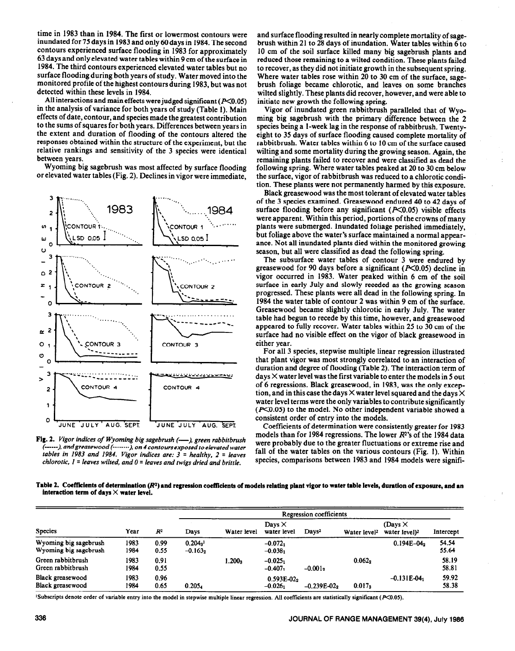time in 1983 than in 1984. The first or lowermost contours were inundated for 75 days in 1983 and only 60 days in 1984. The second contours experienced surface flooding in 1983 for approximately 63 days and **only** elevated water tables within 9 cm of the surface in 1984. The third contours experienced elevated water tables but no surface flooding during both years of study. Water moved into the monitored profile of the highest contours during 1983, but was not detected within these levels in 1984.

All interactions and main effects were judged significant  $(P<0.05)$ in the analysis of variance for both years of study (Table 1). Main effects of date, contour, and species made the greatest contribution to the sums of squares for both years. Differences between years in the extent and duration of flooding of the contours altered the responses obtained within the structure of the experiment, but the relative rankings and sensitivity of the 3 species were identical between years.

Wyoming big sagebrush was most affected by surface flooding or elevated water tables (Fig. 2). Declines in vigor were immediate,



Fig. 2. *Vigor indices of Wyoming big sagebrush (---), green rabbitbrush (---), andgreasewood +'..... ), on 4* **contours** *exposed to elevated water tables in 1983 and 1984. Vigor indices are:*  $3 =$  *healthy, 2 = leaves chlorotic,*  $1 =$  *leaves wilted, and*  $0 =$  *leaves and twigs dried and brittle.* 

and surface flooding resulted in nearly complete mortality of sagebrush within 21 to 28 days of inundation. Water tables within 6 to 10 cm of the soil surface killed many big sagebrush plants and reduced those remaining to a wilted condition. These plants failed to recover, as they did not initiate growth in the subsequent spring. Where water tables rose within 20 to 30 cm of the surface, sagebrush foliage became chlorotic, and leaves on some branches wilted slightly. These plants did recover, however, and were able to initiate new growth the following spring.

Vigor of inundated green rabbitbrush paralleled that of Wyoming big sagebrush with the primary difference between the 2 species being a l-week lag in the response of rabbitbrush. Twentyeight to 35 days of surface flooding caused complete mortality of rabbitbrush. Water tables within 6 to 10 cm of the surface caused wilting and some mortality during the growing season. Again, the remaining plants failed to recover and were classified as dead the following spring. Where water tables peaked at 20 to 30 cm below the surface, vigor of rabbitbrush was reduced to a chlorotic condition. These plants were not permanently harmed by this exposure.

Black greasewood was the most tolerant of elevated water tables of the 3 species examined. Greasewood endured 40 to 42 days of surface flooding before any significant  $(X<0.05)$  visible effects were apparent. Within this period, portions of the crowns of many plants were submerged. Inundated foliage perished immediately, but foliage above the water's surface maintained a normal appearance. Not all inundated plants died within the monitored growing season, but all were classified as dead the following spring.

The subsurface water tables of contour 3 were endured by greasewood for 90 days before a significant  $(P<0.05)$  decline in vigor occurred in 1983. Water peaked within 6 cm of the soil surface in early July and slowly receded as the growing season progressed. These plants were all dead in the following spring. In 1984 the water table of contour 2 was within 9 cm of the surface. Greasewood became slightly chlorotic in early July. The water table had begun to recede by this time, however, and greasewood appeared to fully recover. Water tables within 25 to 30 cm of the surface had no visible effect on the vigor of black greasewood in either year.

For all 3 species, stepwise multiple linear regression illustrated that plant vigor was most strongly correlated to an interaction of duration and degree of flooding (Table 2). The interaction term of  $d$ ays  $\times$  water level was the first variable to enter the models in 5 out of 6 regressions. Black greasewood, in 1983, was the only exception, and in this case the days  $\times$  water level squared and the days  $\times$ water level terms were the only variables to contribute significantly  $(F<0.05)$  to the model. No other independent variable showed a consistent order of entry into the models.

Coefficients of determination were consistently greater for 1983 models than for 1984 regressions. The lower  $R<sup>2</sup>$ 's of the 1984 data were probably due to the greater fluctuations or extreme rise and fall of the water tables on the various contours (Fig. 1). Within species, comparisons between 1983 and 1984 models were signifi-

**Table 2. Coefficients of determination (R\*) and regression coefficients of models relating plant vigor to water table levels, duration of exposure, and an**  interaction term of days  $\times$  water level.

| <b>Species</b>                                 |              | $R^2$        | Regression coefficients |                    |                              |                   |                          |                                             |                |  |
|------------------------------------------------|--------------|--------------|-------------------------|--------------------|------------------------------|-------------------|--------------------------|---------------------------------------------|----------------|--|
|                                                | Year         |              | Days                    | Water level        | Days $\times$<br>water level | Days <sup>2</sup> | Water level <sup>2</sup> | (Days $\times$<br>water level) <sup>2</sup> | Intercept      |  |
| Wyoming big sagebrush<br>Wyoming big sagebrush | 1983<br>1984 | 0.99<br>0.55 | $0.204a^1$<br>$-0.1632$ |                    | $-0.0721$<br>$-0.0381$       |                   |                          | $0.194E - 04$                               | 54.54<br>55.64 |  |
| Green rabbitbrush<br>Green rabbitbrush         | 1983<br>1984 | 0.91<br>0.55 |                         | 1.200 <sub>3</sub> | $-0.0251$<br>$-0.407$        | $-0.0012$         | 0.062 <sub>2</sub>       |                                             | 58.19<br>58.81 |  |
| Black greasewood<br>Black greasewood           | 1983<br>1984 | 0.96<br>0.65 | 0.205 <sub>4</sub>      |                    | $0.593E-0.22$<br>$-0.026_1$  | $-0.239E - 022$   | $0.017_3$                | $-0.131E-04$                                | 59.92<br>58.38 |  |

'Subscripts denote order of variable entry into the model in stepwise multiple linear regression. All coefficients are statistically significant (P<0.05).